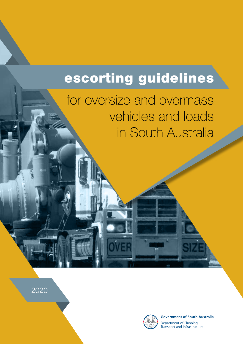# escorting guidelines

for oversize and overmass vehicles and loads in South Australia

2020



**Government of South Australia** Department of Planning,

Transport and Infrastructure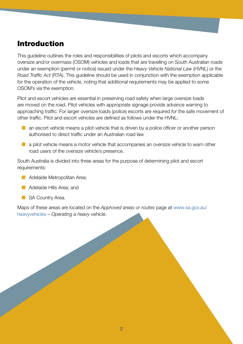# Introduction

This guideline outlines the roles and responsibilities of pilots and escorts which accompany oversize and/or overmass (OSOM) vehicles and loads that are travelling on South Australian roads under an exemption (permit or notice) issued under the *Heavy Vehicle National Law* (HVNL) or the *Road Traffic Act* (RTA). This guideline should be used in conjunction with the exemption applicable for the operation of the vehicle, noting that additional requirements may be applied to some OSOM's via the exemption.

Pilot and escort vehicles are essential in preserving road safety when large oversize loads are moved on the road. Pilot vehicles with appropriate signage provide advance warning to approaching traffic. For larger oversize loads (police) escorts are required for the safe movement of other traffic. Pilot and escort vehicles are defined as follows under the HVNL:

- $\blacksquare$  an escort vehicle means a pilot vehicle that is driven by a police officer or another person authorised to direct traffic under an Australian road law
- a pilot vehicle means a motor vehicle that accompanies an oversize vehicle to warn other road users of the oversize vehicle's presence.

South Australia is divided into three areas for the purpose of determining pilot and escort requirements:

- Adelaide Metropolitan Area:
- Adelaide Hills Area; and
- SA Country Area.

Maps of these areas are located on the *Approved areas or routes* page at [www.sa.gov.au/](https://www.sa.gov.au/topics/driving-and-transport/heavy-vehicles) [heavyvehicles](https://www.sa.gov.au/topics/driving-and-transport/heavy-vehicles) – *Operating a heavy vehicle*.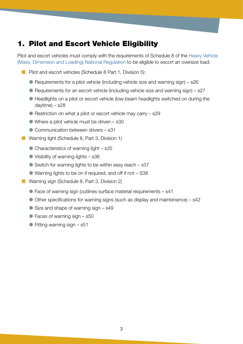# 1. Pilot and Escort Vehicle Eligibility

Pilot and escort vehicles must comply with the requirements of Schedule 8 of the [Heavy Vehicle](https://www.legislation.qld.gov.au/view/whole/html/inforce/current/sl-2013-0077)  [\(Mass, Dimension and Loading\) National Regulation](https://www.legislation.qld.gov.au/view/whole/html/inforce/current/sl-2013-0077) to be eligible to escort an oversize load:

- Pilot and escort vehicles (Schedule 8 Part 1, Division 5):
	- $\bullet$  Requirements for a pilot vehicle (including vehicle size and warning sign) s26
	- Requirements for an escort vehicle (including vehicle size and warning sign) s27
	- Headlights on a pilot or escort vehicle (low-beam headlights switched on during the daytime) – s28
	- $\bullet$  Restriction on what a pilot or escort vehicle may carry  $-$  s29
	- Where a pilot vehicle must be driven s30
	- Communication between drivers s31
- Warning light (Schedule 8, Part 3, Division 1)
	- $\bullet$  Characteristics of warning light s35
	- Visibility of warning lights s36
	- $\bullet$  Switch for warning lights to be within easy reach s37
	- Warning lights to be on if required, and off if not S38
- Warning sign (Schedule 8, Part 3, Division 2)
	- Face of warning sign (outlines surface material requirements s41
	- Other specifications for warning signs (such as display and maintenance) s42
	- $\bullet$  Size and shape of warning sign  $-$  s49
	- $\bullet$  Faces of warning sign  $-$  s50
	- $\bullet$  Fitting warning sign s51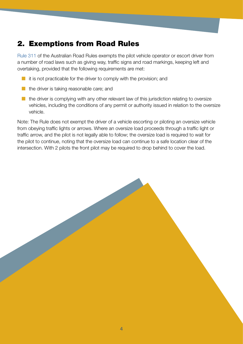# 2. Exemptions from Road Rules

[Rule 311](https://www.legislation.sa.gov.au/LZ/C/R/Australian%20Road%20Rules.aspx) of the Australian Road Rules exempts the pilot vehicle operator or escort driver from a number of road laws such as giving way, traffic signs and road markings, keeping left and overtaking, provided that the following requirements are met:

- $\blacksquare$  it is not practicable for the driver to comply with the provision; and
- $\blacksquare$  the driver is taking reasonable care; and
- $\blacksquare$  the driver is complying with any other relevant law of this jurisdiction relating to oversize vehicles, including the conditions of any permit or authority issued in relation to the oversize vehicle.

Note: The Rule does not exempt the driver of a vehicle escorting or piloting an oversize vehicle from obeying traffic lights or arrows. Where an oversize load proceeds through a traffic light or traffic arrow, and the pilot is not legally able to follow; the oversize load is required to wait for the pilot to continue, noting that the oversize load can continue to a safe location clear of the intersection. With 2 pilots the front pilot may be required to drop behind to cover the load.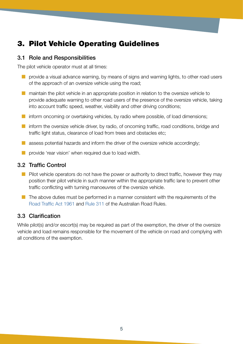# 3. Pilot Vehicle Operating Guidelines

## 3.1 Role and Responsibilities

The pilot vehicle operator must at all times:

- $\blacksquare$  provide a visual advance warning, by means of signs and warning lights, to other road users of the approach of an oversize vehicle using the road;
- maintain the pilot vehicle in an appropriate position in relation to the oversize vehicle to provide adequate warning to other road users of the presence of the oversize vehicle, taking into account traffic speed, weather, visibility and other driving conditions;
- inform oncoming or overtaking vehicles, by radio where possible, of load dimensions;
- $\blacksquare$  inform the oversize vehicle driver, by radio, of oncoming traffic, road conditions, bridge and traffic light status, clearance of load from trees and obstacles etc;
- $\blacksquare$  assess potential hazards and inform the driver of the oversize vehicle accordingly;
- **EX provide 'rear vision' when required due to load width.**

#### 3.2 Traffic Control

- $\blacksquare$  Pilot vehicle operators do not have the power or authority to direct traffic, however they may position their pilot vehicle in such manner within the appropriate traffic lane to prevent other traffic conflicting with turning manoeuvres of the oversize vehicle.
- $\blacksquare$  The above duties must be performed in a manner consistent with the requirements of the [Road Traffic Act 1961](https://www.legislation.sa.gov.au/LZ/C/A/ROAD%20TRAFFIC%20ACT%201961.aspx) and [Rule 311](https://www.legislation.sa.gov.au/LZ/C/R/Australian%20Road%20Rules.aspx) of the Australian Road Rules.

## 3.3 Clarification

While pilot(s) and/or escort(s) may be required as part of the exemption, the driver of the oversize vehicle and load remains responsible for the movement of the vehicle on road and complying with all conditions of the exemption.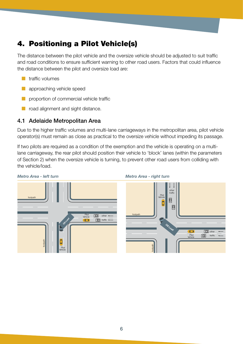# 4. Positioning a Pilot Vehicle(s)

The distance between the pilot vehicle and the oversize vehicle should be adjusted to suit traffic and road conditions to ensure sufficient warning to other road users. Factors that could influence the distance between the pilot and oversize load are:

- $\blacksquare$  traffic volumes
- ¢ approaching vehicle speed
- ¢ proportion of commercial vehicle traffic
- road alignment and sight distance.

## 4.1 Adelaide Metropolitan Area

Due to the higher traffic volumes and multi-lane carriageways in the metropolitan area, pilot vehicle operator(s) must remain as close as practical to the oversize vehicle without impeding its passage.

If two pilots are required as a condition of the exemption and the vehicle is operating on a multilane carriageway, the rear pilot should position their vehicle to 'block' lanes (within the parameters of Section 2) when the oversize vehicle is turning, to prevent other road users from colliding with the vehicle/load.

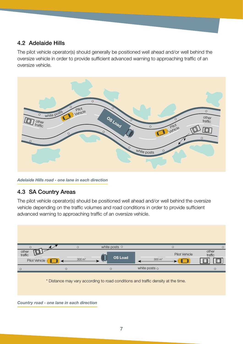## 4.2 Adelaide Hills

The pilot vehicle operator(s) should generally be positioned well ahead and/or well behind the oversize vehicle in order to provide sufficient advanced warning to approaching traffic of an oversize vehicle.



*Adelaide Hills road - one lane in each direction*

## 4.3 SA Country Areas

The pilot vehicle operator(s) should be positioned well ahead and/or well behind the oversize vehicle depending on the traffic volumes and road conditions in order to provide sufficient advanced warning to approaching traffic of an oversize vehicle.



*Country road - one lane in each direction*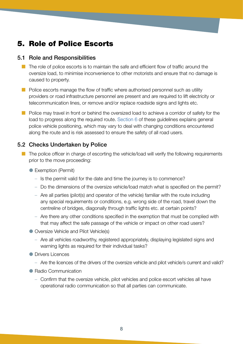# 5. Role of Police Escorts

#### 5.1 Role and Responsibilities

- $\blacksquare$  The role of police escorts is to maintain the safe and efficient flow of traffic around the oversize load, to minimise inconvenience to other motorists and ensure that no damage is caused to property.
- $\blacksquare$  Police escorts manage the flow of traffic where authorised personnel such as utility providers or road infrastructure personnel are present and are required to lift electricity or telecommunication lines, or remove and/or replace roadside signs and lights etc.
- Police may travel in front or behind the oversized load to achieve a corridor of safety for the load to progress along the required route. [Section 6](#page-8-0) of these guidelines explains general police vehicle positioning, which may vary to deal with changing conditions encountered along the route and is risk assessed to ensure the safety of all road users.

## 5.2 Checks Undertaken by Police

- The police officer in charge of escorting the vehicle/load will verify the following requirements prior to the move proceeding:
	- Exemption (Permit)
		- Is the permit valid for the date and time the journey is to commence?
		- Do the dimensions of the oversize vehicle/load match what is specified on the permit?
		- Are all parties (pilot(s) and operator of the vehicle) familiar with the route including any special requirements or conditions, e.g. wrong side of the road, travel down the centreline of bridges, diagonally through traffic lights etc. at certain points?
		- Are there any other conditions specified in the exemption that must be complied with that may affect the safe passage of the vehicle or impact on other road users?
	- Oversize Vehicle and Pilot Vehicle(s)
		- Are all vehicles roadworthy, registered appropriately, displaying legislated signs and warning lights as required for their individual tasks?
	- **O** Drivers Licences
		- Are the licences of the drivers of the oversize vehicle and pilot vehicle/s current and valid?
	- Radio Communication
		- Confirm that the oversize vehicle, pilot vehicles and police escort vehicles all have operational radio communication so that all parties can communicate.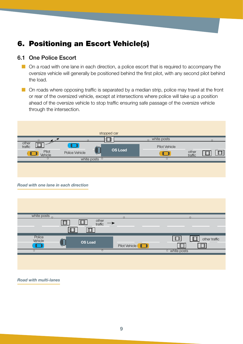# <span id="page-8-0"></span>6. Positioning an Escort Vehicle(s)

#### 6.1 One Police Escort

- $\Box$  On a road with one lane in each direction, a police escort that is required to accompany the oversize vehicle will generally be positioned behind the first pilot, with any second pilot behind the load.
- $\blacksquare$  On roads where opposing traffic is separated by a median strip, police may travel at the front or rear of the oversized vehicle, except at intersections where police will take up a position ahead of the oversize vehicle to stop traffic ensuring safe passage of the oversize vehicle through the intersection.



#### *Road with one lane in each direction*

| white posts o     |                            | $\Omega$                | $\sim$                   |
|-------------------|----------------------------|-------------------------|--------------------------|
| ╙                 | other<br>traffic<br>$\Box$ |                         |                          |
|                   |                            |                         |                          |
| Police<br>Vehicle | <b>OS Load</b>             |                         | other traffic            |
|                   |                            | $\Box$<br>Pilot Vehicle |                          |
| $\circ$           | $\circ$                    |                         | <sup>o</sup> white posts |
|                   |                            |                         |                          |
|                   |                            |                         |                          |
|                   |                            |                         |                          |

*Road with multi-lanes*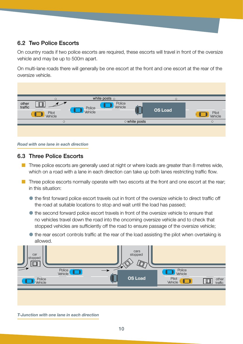# 6.2 Two Police Escorts

On country roads if two police escorts are required, these escorts will travel in front of the oversize vehicle and may be up to 500m apart.

On multi-lane roads there will generally be one escort at the front and one escort at the rear of the oversize vehicle.

| $\circ$                                                                      | white posts $\circ$                                    | $\circ$        |                  |
|------------------------------------------------------------------------------|--------------------------------------------------------|----------------|------------------|
| other<br>traffic<br>Pilot<br>$\mathbf{L}$<br>Vehicle<br><b>Support Forms</b> | Police<br>Vehicle<br><u> 22 J</u><br>Police<br>Vehicle | <b>OS Load</b> | Pilot<br>Vehicle |
| $\circ$                                                                      | o white posts                                          |                | $\circ$          |
|                                                                              |                                                        |                |                  |

*Road with one lane in each direction*

#### 6.3 Three Police Escorts

- $\blacksquare$  Three police escorts are generally used at night or where loads are greater than 8 metres wide, which on a road with a lane in each direction can take up both lanes restricting traffic flow.
- $\blacksquare$  Three police escorts normally operate with two escorts at the front and one escort at the rear; in this situation:
	- $\bullet$  the first forward police escort travels out in front of the oversize vehicle to direct traffic off the road at suitable locations to stop and wait until the load has passed;
	- the second forward police escort travels in front of the oversize vehicle to ensure that no vehicles travel down the road into the oncoming oversize vehicle and to check that stopped vehicles are sufficiently off the road to ensure passage of the oversize vehicle;
	- $\bullet$  the rear escort controls traffic at the rear of the load assisting the pilot when overtaking is allowed.



*T-Junction with one lane in each direction*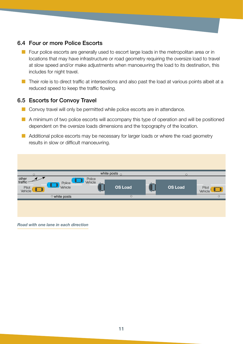## 6.4 Four or more Police Escorts

- Four police escorts are generally used to escort large loads in the metropolitan area or in locations that may have infrastructure or road geometry requiring the oversize load to travel at slow speed and/or make adjustments when manoeuvring the load to its destination, this includes for night travel.
- Their role is to direct traffic at intersections and also past the load at various points albeit at a reduced speed to keep the traffic flowing.

#### 6.5 Escorts for Convoy Travel

- Convoy travel will only be permitted while police escorts are in attendance.
- A minimum of two police escorts will accompany this type of operation and will be positioned dependent on the oversize loads dimensions and the topography of the location.
- Additional police escorts may be necessary for larger loads or where the road geometry results in slow or difficult manoeuvring.

| $\circ$                                               |                                                       |                   | white posts $_{\circ}$ | $\circ$        |                            |
|-------------------------------------------------------|-------------------------------------------------------|-------------------|------------------------|----------------|----------------------------|
| other<br>traffic<br>Pilot<br>$\Box$<br><b>Vehicle</b> | $\Box$<br>Police <sup></sup><br><u>U J</u><br>Vehicle | Police<br>Vehicle | <b>OS Load</b>         | <b>OS Load</b> | Pilot<br>$\Box$<br>Vehicle |
|                                                       | o white posts                                         |                   | $\circ$                |                | $\circ$                    |
|                                                       |                                                       |                   |                        |                |                            |

*Road with one lane in each direction*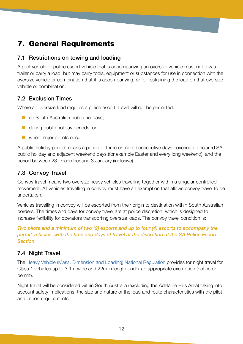# 7. General Requirements

## 7.1 Restrictions on towing and loading

A pilot vehicle or police escort vehicle that is accompanying an oversize vehicle must not tow a trailer or carry a load, but may carry tools, equipment or substances for use in connection with the oversize vehicle or combination that it is accompanying, or for restraining the load on that oversize vehicle or combination.

## 7.2 Exclusion Times

Where an oversize load requires a police escort, travel will not be permitted:

- $\blacksquare$  on South Australian public holidays;
- **th** during public holiday periods; or
- $\blacksquare$  when major events occur.

A public holiday period means a period of three or more consecutive days covering a declared SA public holiday and adjacent weekend days (for example Easter and every long weekend); and the period between 23 December and 3 January (inclusive).

## 7.3 Convoy Travel

Convoy travel means two oversize heavy vehicles travelling together within a singular controlled movement. All vehicles travelling in convoy must have an exemption that allows convoy travel to be undertaken.

Vehicles travelling in convoy will be escorted from their origin to destination within South Australian borders. The times and days for convoy travel are at police discretion, which is designed to increase flexibility for operators transporting oversize loads. The convoy travel condition is:

*Two pilots and a minimum of two (2) escorts and up to four (4) escorts to accompany the permit vehicles, with the time and days of travel at the discretion of the SA Police Escort Section.*

## 7.4 Night Travel

The [Heavy Vehicle \(Mass, Dimension and Loading\) National Regulation](https://www.legislation.qld.gov.au/view/whole/html/inforce/current/sl-2013-0077) provides for night travel for Class 1 vehicles up to 3.1m wide and 22m in length under an appropriate exemption (notice or permit).

Night travel will be considered within South Australia (excluding the Adelaide Hills Area) taking into account safety implications, the size and nature of the load and route characteristics with the pilot and escort requirements.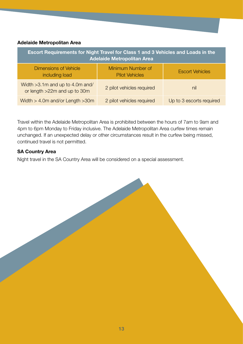#### **Adelaide Metropolitan Area**

| Escort Requirements for Night Travel for Class 1 and 3 Vehicles and Loads in the<br><b>Adelaide Metropolitan Area</b> |                                            |                          |  |  |
|-----------------------------------------------------------------------------------------------------------------------|--------------------------------------------|--------------------------|--|--|
| <b>Dimensions of Vehicle</b><br>including load                                                                        | Minimum Number of<br><b>Pilot Vehicles</b> | <b>Escort Vehicles</b>   |  |  |
| Width $>3.1m$ and up to 4.0m and/<br>or length >22m and up to 30m                                                     | 2 pilot vehicles required                  | nil                      |  |  |
| Width $>$ 4.0m and/or Length $>$ 30m                                                                                  | 2 pilot vehicles required                  | Up to 3 escorts required |  |  |

Travel within the Adelaide Metropolitan Area is prohibited between the hours of 7am to 9am and 4pm to 6pm Monday to Friday inclusive. The Adelaide Metropolitan Area curfew times remain unchanged. If an unexpected delay or other circumstances result in the curfew being missed, continued travel is not permitted.

#### **SA Country Area**

Night travel in the SA Country Area will be considered on a special assessment.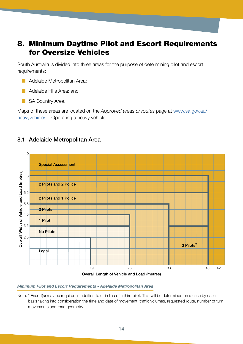# 8. Minimum Daytime Pilot and Escort Requirements for Oversize Vehicles

South Australia is divided into three areas for the purpose of determining pilot and escort requirements:

- Adelaide Metropolitan Area;
- Adelaide Hills Area; and
- SA Country Area.

Maps of these areas are located on the *Approved areas or routes* page at [www.sa.gov.au/](https://www.sa.gov.au/topics/driving-and-transport/heavy-vehicles) [heavyvehicles](https://www.sa.gov.au/topics/driving-and-transport/heavy-vehicles) – Operating a heavy vehicle.

#### 8.1 Adelaide Metropolitan Area



#### *Minimum Pilot and Escort Requirements - Adelaide Metropolitan Area*

Note: \* Escort(s) may be required in addition to or in lieu of a third pilot. This will be determined on a case by case basis taking into consideration the time and date of movement, traffic volumes, requested route, number of turn movements and road geometry.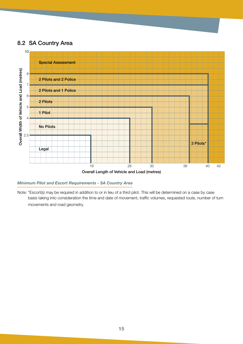#### 8.2 SA Country Area



Overall Length of Vehicle and Load (metres)

#### *Minimum Pilot and Escort Requirements - SA Country Area*

Note: \*Escort(s) may be required in addition to or in lieu of a third pilot. This will be determined on a case by case basis taking into consideration the time and date of movement, traffic volumes, requested route, number of turn movements and road geometry.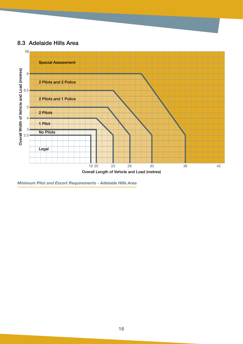#### 8.3 Adelaide Hills Area

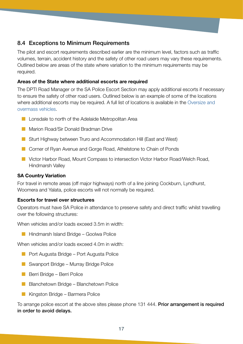## 8.4 Exceptions to Minimum Requirements

The pilot and escort requirements described earlier are the minimum level, factors such as traffic volumes, terrain, accident history and the safety of other road users may vary these requirements. Outlined below are areas of the state where variation to the minimum requirements may be required.

#### **Areas of the State where additional escorts are required**

The DPTI Road Manager or the SA Police Escort Section may apply additional escorts if necessary to ensure the safety of other road users. Outlined below is an example of some of the locations where additional escorts may be required. A full list of locations is available in the [Oversize and](https://www.sa.gov.au/topics/driving-and-transport/heavy-vehicles/operating-a-heavy-vehicle/oversize-and-overmass-vehicles)  [overmass vehicles.](https://www.sa.gov.au/topics/driving-and-transport/heavy-vehicles/operating-a-heavy-vehicle/oversize-and-overmass-vehicles)

- Lonsdale to north of the Adelaide Metropolitan Area
- Marion Road/Sir Donald Bradman Drive
- Sturt Highway between Truro and Accommodation Hill (East and West)
- Corner of Ryan Avenue and Gorge Road, Athelstone to Chain of Ponds
- Victor Harbor Road, Mount Compass to intersection Victor Harbor Road/Welch Road, Hindmarsh Valley

#### **SA Country Variation**

For travel in remote areas (off major highways) north of a line joining Cockburn, Lyndhurst, Woomera and Yalata, police escorts will not normally be required.

#### **Escorts for travel over structures**

Operators must have SA Police in attendance to preserve safety and direct traffic whilst travelling over the following structures:

When vehicles and/or loads exceed 3.5m in width:

■ Hindmarsh Island Bridge – Goolwa Police

When vehicles and/or loads exceed 4.0m in width:

- Port Augusta Bridge Port Augusta Police
- Swanport Bridge Murray Bridge Police
- Berri Bridge Berri Police
- Blanchetown Bridge Blanchetown Police
- Kingston Bridge Barmera Police

To arrange police escort at the above sites please phone 131 444. Prior arrangement is required in order to avoid delays.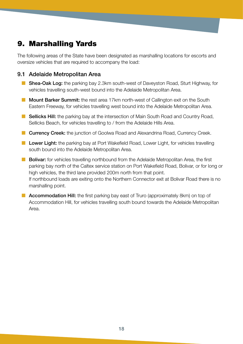# 9. Marshalling Yards

The following areas of the State have been designated as marshalling locations for escorts and oversize vehicles that are required to accompany the load:

#### 9.1 Adelaide Metropolitan Area

- Shea-Oak Log: the parking bay 2.3km south-west of Daveyston Road, Sturt Highway, for vehicles travelling south-west bound into the Adelaide Metropolitan Area.
- **Mount Barker Summit:** the rest area 17km north-west of Callington exit on the South Eastern Freeway, for vehicles travelling west bound into the Adelaide Metropolitan Area.
- Sellicks Hill: the parking bay at the intersection of Main South Road and Country Road, Sellicks Beach, for vehicles travelling to / from the Adelaide Hills Area.
- **E** Currency Creek: the junction of Goolwa Road and Alexandrina Road, Currency Creek.
- Lower Light: the parking bay at Port Wakefield Road, Lower Light, for vehicles travelling south bound into the Adelaide Metropolitan Area.
- **E** Bolivar: for vehicles travelling northbound from the Adelaide Metropolitan Area, the first parking bay north of the Caltex service station on Port Wakefield Road, Bolivar, or for long or high vehicles, the third lane provided 200m north from that point. If northbound loads are exiting onto the Northern Connector exit at Bolivar Road there is no marshalling point.
- **E** Accommodation Hill: the first parking bay east of Truro (approximately 8km) on top of Accommodation Hill, for vehicles travelling south bound towards the Adelaide Metropolitan Area.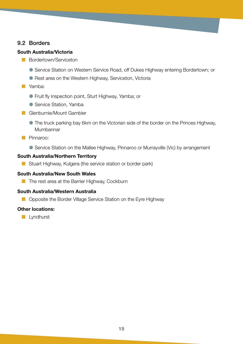## 9.2 Borders

#### **South Australia/Victoria**

- **E** Bordertown/Serviceton
	- Service Station on Western Service Road, off Dukes Highway entering Bordertown; or
	- **Rest area on the Western Highway, Serviceton, Victoria**
- Yamba:
	- **•** Fruit fly inspection point, Sturt Highway, Yamba; or
	- Service Station, Yamba
- Glenburnie/Mount Gambier
	- The truck parking bay 6km on the Victorian side of the border on the Princes Highway, Mumbannar
- Pinnaroo:
	- Service Station on the Mallee Highway, Pinnaroo or Murrayville (Vic) by arrangement

#### **South Australia/Northern Territory**

■ Stuart Highway, Kulgera (the service station or border park)

#### **South Australia/New South Wales**

■ The rest area at the Barrier Highway, Cockburn

#### **South Australia/Western Australia**

■ Opposite the Border Village Service Station on the Eyre Highway

#### **Other locations:**

**Lyndhurst**